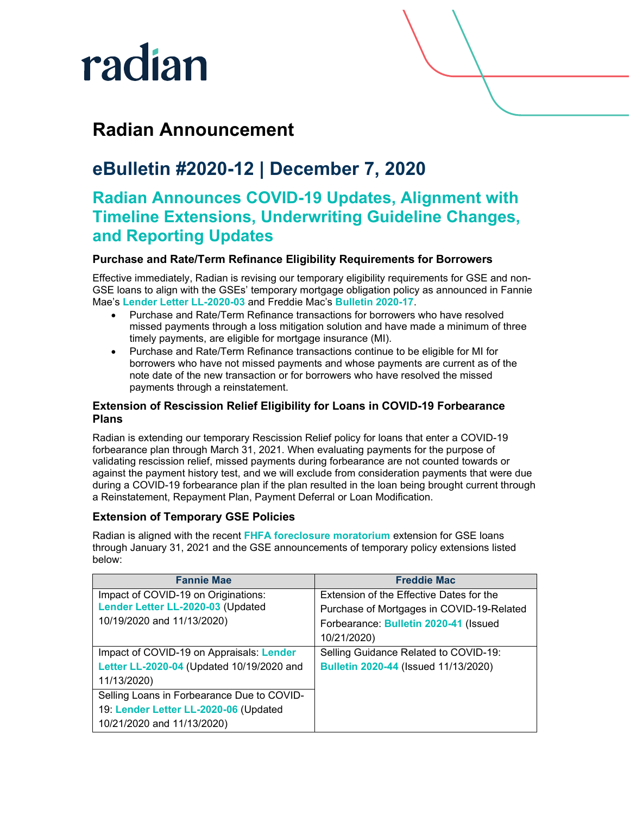## radian

### **Radian Announcement**

## **eBulletin #2020-12 | December 7, 2020**

### **Radian Announces COVID-19 Updates, Alignment with Timeline Extensions, Underwriting Guideline Changes, and Reporting Updates**

#### **Purchase and Rate/Term Refinance Eligibility Requirements for Borrowers**

Effective immediately, Radian is revising our temporary eligibility requirements for GSE and non-GSE loans to align with the GSEs' temporary mortgage obligation policy as announced in Fannie Mae's **[Lender Letter LL-2020-03](https://singlefamily.fanniemae.com/media/22316/display?_ga=2.43756131.718119102.1591042086-1309927260.1580139265)** and Freddie Mac's **[Bulletin 2020-17](https://guide.freddiemac.com/app/guide/bulletin/2020-17)**.

- Purchase and Rate/Term Refinance transactions for borrowers who have resolved missed payments through a loss mitigation solution and have made a minimum of three timely payments, are eligible for mortgage insurance (MI).
- Purchase and Rate/Term Refinance transactions continue to be eligible for MI for borrowers who have not missed payments and whose payments are current as of the note date of the new transaction or for borrowers who have resolved the missed payments through a reinstatement.

#### **Extension of Rescission Relief Eligibility for Loans in COVID-19 Forbearance Plans**

Radian is extending our temporary Rescission Relief policy for loans that enter a COVID-19 forbearance plan through March 31, 2021. When evaluating payments for the purpose of validating rescission relief, missed payments during forbearance are not counted towards or against the payment history test, and we will exclude from consideration payments that were due during a COVID-19 forbearance plan if the plan resulted in the loan being brought current through a Reinstatement, Repayment Plan, Payment Deferral or Loan Modification.

#### **Extension of Temporary GSE Policies**

Radian is aligned with the recent **[FHFA foreclosure moratorium](https://www.fhfa.gov/Media/PublicAffairs/Pages/FHFA-Extends-Foreclosure-and-REO-Eviction-Moratoriums-12022020.aspx)** extension for GSE loans through January 31, 2021 and the GSE announcements of temporary policy extensions listed below:

| <b>Fannie Mae</b>                          | <b>Freddie Mac</b>                        |
|--------------------------------------------|-------------------------------------------|
| Impact of COVID-19 on Originations:        | Extension of the Effective Dates for the  |
| Lender Letter LL-2020-03 (Updated          | Purchase of Mortgages in COVID-19-Related |
| 10/19/2020 and 11/13/2020)                 | Forbearance: Bulletin 2020-41 (Issued     |
|                                            | 10/21/2020)                               |
| Impact of COVID-19 on Appraisals: Lender   | Selling Guidance Related to COVID-19:     |
| Letter LL-2020-04 (Updated 10/19/2020 and  | Bulletin 2020-44 (Issued 11/13/2020)      |
| 11/13/2020)                                |                                           |
| Selling Loans in Forbearance Due to COVID- |                                           |
| 19: Lender Letter LL-2020-06 (Updated      |                                           |
| 10/21/2020 and 11/13/2020)                 |                                           |